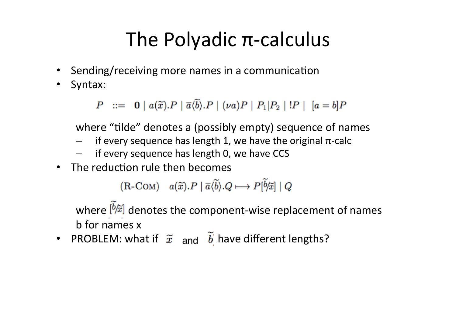#### The Polyadic  $\pi$ -calculus

- Sending/receiving more names in a communication
- Syntax:

 $P$  ::= 0 |  $a(\tilde{x})$  $\cdot P$  |  $\overline{a}(\tilde{b})$  $\cdot P$  |  $(\nu a)P$  |  $P_1|P_2$  |  $\cdot P$  |  $[a = b]P$ 

where "tilde" denotes a (possibly empty) sequence of names

- if every sequence has length 1, we have the original  $\pi$ -calc
- if every sequence has length 0, we have CCS
- The reduction rule then becomes

$$
(R\text{-}\mathrm{Com})\quad a(\widetilde{x}).P \mid \overline{a}\langle \widetilde{b}\rangle .Q \longmapsto P[\widetilde{b}/\widetilde{x}] \mid Q
$$

where  $\left[\frac{b}{\tilde{\mu}}\right]$  denotes the component-wise replacement of names b for names x

• PROBLEM: what if  $\widetilde{x}$  and  $\widetilde{b}$  have different lengths?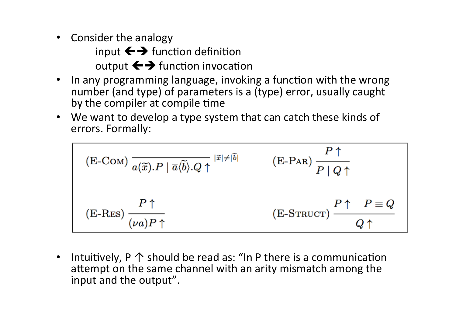• Consider the analogy

input  $\leftrightarrow$  function definition output  $\leftrightarrow$  function invocation

- In any programming language, invoking a function with the wrong number (and type) of parameters is a (type) error, usually caught by the compiler at compile time
- We want to develop a type system that can catch these kinds of errors. Formally:

$$
\begin{array}{lll}\n\text{(E-COM)} \overline{a(\widetilde{x}).P \mid \overline{a} \langle \widetilde{b} \rangle .Q \uparrow} & \text{(E-PAR)} \, \frac{P \uparrow}{P \mid Q \uparrow} \\
\text{(E-RES)} \, \frac{P \uparrow}{(\nu a)P \uparrow} & \text{(E-STRUCT)} \, \frac{P \uparrow}{Q \uparrow} & \text{(E-STRUCT)} \n\end{array}
$$

• Intuitively,  $P \uparrow$  should be read as: "In P there is a communication attempt on the same channel with an arity mismatch among the input and the output".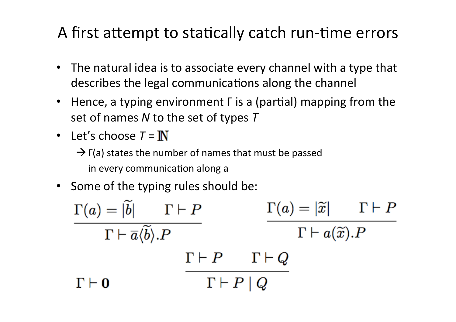#### A first attempt to statically catch run-time errors

- The natural idea is to associate every channel with a type that describes the legal communications along the channel
- Hence, a typing environment  $\Gamma$  is a (partial) mapping from the set of names *N* to the set of types *T*
- Let's choose  $T = \mathbb{N}$

 $\rightarrow$  Γ(a) states the number of names that must be passed in every communication along a

• Some of the typing rules should be:

 $\frac{\Gamma(a) = |\widetilde{b}| \qquad \Gamma \vdash P}{\Gamma \vdash \overline{a}\langle \widetilde{b}\rangle.P}$  $\frac{\Gamma(a)=|\widetilde{x}|}{\Gamma\vdash a(\widetilde{x}).P}$  $\Gamma \vdash P$   $\Gamma \vdash Q$  $\Gamma \vdash P \mid Q$  $\Gamma \vdash 0$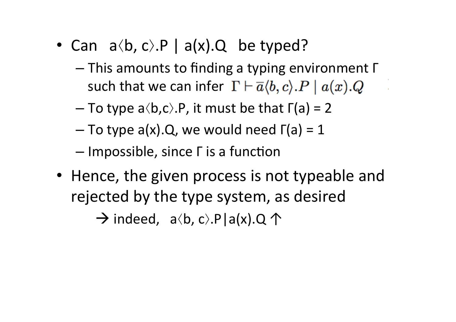- Can  $a\langle b, c \rangle$ .P |  $a(x)$ .Q be typed?
	- $-$  This amounts to finding a typing environment  $\Gamma$ such that we can infer  $\Gamma \vdash \overline{a} \langle b, c \rangle . P \mid a(x).Q$
	- $-$  To type a $\langle b, c \rangle$ .P, it must be that  $\Gamma(a) = 2$
	- $-$  To type a(x).Q, we would need  $\Gamma$ (a) = 1
	- $-$  Impossible, since  $\Gamma$  is a function
- Hence, the given process is not typeable and rejected by the type system, as desired

 $\rightarrow$  indeed,  $a\langle b, c\rangle P|a(x).Q \uparrow$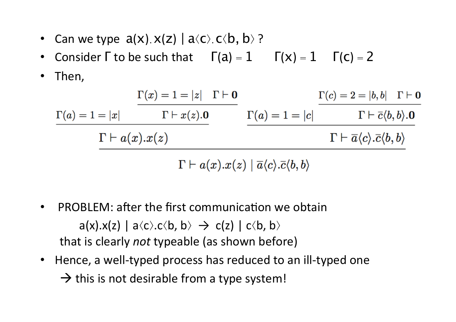- Can we type  $a(x)$ .  $x(z)$  |  $a\langle c \rangle$ .  $c\langle b, b \rangle$ ?
- Consider  $\Gamma$  to be such that  $\Gamma(a) = 1$   $\Gamma(x) = 1$   $\Gamma(c) = 2$
- Then,

|                          | $\Gamma(x) = 1 =  z  \quad \Gamma \vdash \mathbf{0}$ |                       | $\Gamma(c) = 2 =  b, b  \quad \Gamma \vdash \mathbf{0}$                    |
|--------------------------|------------------------------------------------------|-----------------------|----------------------------------------------------------------------------|
| $\Gamma(a) = 1 =  x $    | $\Gamma \vdash x(z) . 0$                             | $\Gamma(a) = 1 =  c $ | $\Gamma\vdash \overline{c}\langle b,b\rangle.$ <b>O</b>                    |
| $\Gamma\vdash a(x).x(z)$ |                                                      |                       | $\Gamma\vdash \overline{a}\langle c\rangle.\overline{c}\langle b,b\rangle$ |
|                          |                                                      |                       |                                                                            |

 $\Gamma \vdash a(x).x(z) \mid \overline{a}\langle c \rangle .\overline{c}\langle b,b \rangle$ 

- PROBLEM: after the first communication we obtain  $a(x).x(z) | a\langle c\rangle.c\langle b, b\rangle \rightarrow c(z) | c\langle b, b\rangle$ that is clearly *not* typeable (as shown before)
- Hence, a well-typed process has reduced to an ill-typed one  $\rightarrow$  this is not desirable from a type system!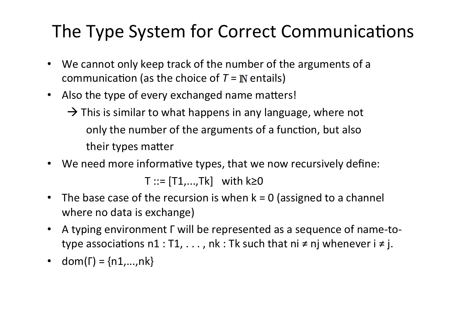#### The Type System for Correct Communications

- We cannot only keep track of the number of the arguments of a communication (as the choice of  $T = \mathbb{N}$  entails)
- Also the type of every exchanged name matters!
	- $\rightarrow$  This is similar to what happens in any language, where not only the number of the arguments of a function, but also their types matter
- We need more informative types, that we now recursively define:

 $T ::= [T1,...,Tk]$  with  $k \ge 0$ 

- The base case of the recursion is when  $k = 0$  (assigned to a channel where no data is exchange)
- A typing environment Γ will be represented as a sequence of name-totype associations  $n1: T1, \ldots$ , nk : Tk such that  $ni \neq nj$  whenever  $i \neq j$ .
- dom( $\Gamma$ ) = {n1,...,nk}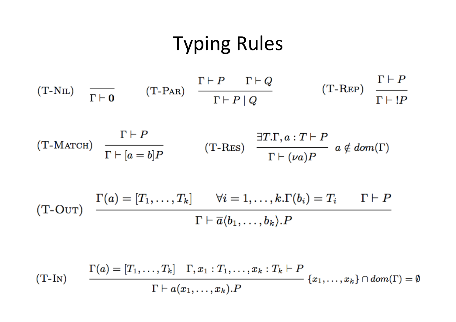#### **Typing Rules**

$$
(T-NIL) \quad \frac{\Gamma \vdash P \quad \Gamma \vdash Q}{\Gamma \vdash \mathbf{0}} \qquad (T-PAR) \quad \frac{\Gamma \vdash P \quad \Gamma \vdash Q}{\Gamma \vdash P \mid Q} \qquad (T-REP) \quad \frac{\Gamma \vdash P}{\Gamma \vdash !P}
$$

$$
(T-MATCH) \quad \frac{\Gamma \vdash P}{\Gamma \vdash [a=b]P} \qquad \qquad (T-RES) \quad \frac{\exists T.\Gamma, a:\, T \vdash P}{\Gamma \vdash (\nu a)P} \quad a \notin dom(\Gamma)
$$

$$
\text{(T-OuT)} \quad \frac{\Gamma(a) = [T_1, \ldots, T_k] \qquad \forall i = 1, \ldots, k.\Gamma(b_i) = T_i \qquad \Gamma \vdash P}{\Gamma \vdash \overline{a}\langle b_1, \ldots, b_k \rangle.P}
$$

$$
(T-IN) \qquad \frac{\Gamma(a) = [T_1, \ldots, T_k] \quad \Gamma, x_1 : T_1, \ldots, x_k : T_k \vdash P}{\Gamma \vdash a(x_1, \ldots, x_k).P} \{x_1, \ldots, x_k\} \cap dom(\Gamma) = \emptyset
$$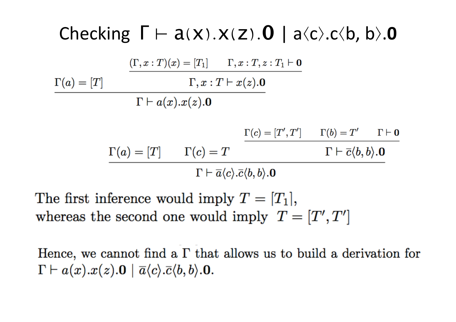#### Checking  $\Gamma \vdash a(x).x(z).0 \mid a\langle c\rangle.c\langle b,b\rangle.0$

 $(\Gamma, x : T)(x) = [T_1] \quad \Gamma, x : T, z : T_1 \vdash \mathbf{0}$  $\Gamma, x : T \vdash x(z).0$  $\Gamma(a) = [T]$  $\Gamma\vdash a(x).x(z).0$  $\Gamma(c) = [T', T']$   $\Gamma(b) = T'$   $\Gamma \vdash \mathbf{0}$  $\Gamma(a) = [T]$   $\Gamma(c) = T$  $\Gamma\vdash \overline{c}\langle b,b\rangle.$  O  $\Gamma \vdash \overline{a}\langle c\rangle .\overline{c}\langle b,b\rangle .\mathbf{0}$ 

The first inference would imply  $T = [T_1]$ , whereas the second one would imply  $T = [T', T']$ 

Hence, we cannot find a  $\Gamma$  that allows us to build a derivation for  $\Gamma \vdash a(x).x(z).0 \mid \overline{a}\langle c \rangle.\overline{c}\langle b,b \rangle.0.$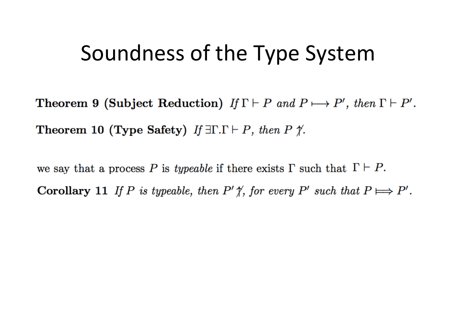#### Soundness of the Type System

**Theorem 9 (Subject Reduction)** If  $\Gamma \vdash P$  and  $P \longmapsto P'$ , then  $\Gamma \vdash P'$ . **Theorem 10 (Type Safety)** If  $\exists \Gamma.\Gamma \vdash P$ , then P  $\not\uparrow$ .

we say that a process P is typeable if there exists  $\Gamma$  such that  $\Gamma \vdash P$ . **Corollary 11** If P is typeable, then  $P' \nless \nmid$ , for every  $P'$  such that  $P \Longrightarrow P'$ .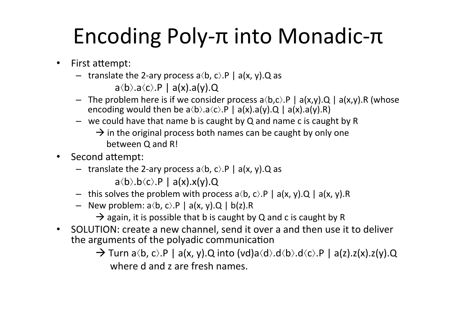# Encoding Poly-π into Monadic-π

- First attempt:
	- translate the 2-ary process a $\langle b, c \rangle$ .P | a(x, y).Q as

 $a\langle b\rangle.a\langle c\rangle.P \mid a(x).a(y).Q$ 

- The problem here is if we consider process  $a\langle b,c\rangle.P$  |  $a(x,y).Q$  |  $a(x,y).R$  (whose encoding would then be  $a\langle b\rangle.a\langle c\rangle.P \mid a(x).a(y).Q \mid a(x).a(y).R)$
- we could have that name b is caught by  $Q$  and name c is caught by R
	- $\rightarrow$  in the original process both names can be caught by only one between O and R!
- Second attempt:
	- translate the 2-ary process a $\langle b, c \rangle$ .P | a(x, y).Q as

 $a\langle b\rangle.b\langle c\rangle.P \mid a(x).x(y).Q$ 

- this solves the problem with process  $a\langle b, c\rangle P \mid a(x, y)$ . Q |  $a(x, y)$ . R
- New problem:  $a\langle b, c \rangle .P \mid a(x, y).Q \mid b(z).R$ 
	- $\rightarrow$  again, it is possible that b is caught by Q and c is caught by R
- SOLUTION: create a new channel, send it over a and then use it to deliver the arguments of the polyadic communication
	- $\rightarrow$  Turn a $\langle b, c \rangle$ .P | a(x, y).Q into (vd)a $\langle d \rangle$ .d $\langle b \rangle$ .d $\langle c \rangle$ .P | a(z).z(x).z(y).Q where d and z are fresh names.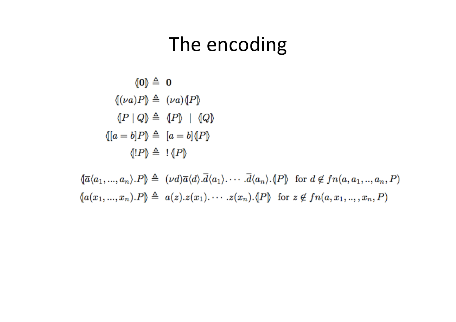#### The encoding

$$
\langle 0 \rangle \triangleq 0
$$
  

$$
\langle \nu a \rangle P \rangle \triangleq \langle \nu a \rangle \langle P \rangle
$$
  

$$
\langle P | Q \rangle \triangleq \langle P \rangle \mid \langle Q \rangle
$$
  

$$
\langle [a = b]P \rangle \triangleq [a = b] \langle P \rangle
$$
  

$$
\langle [P] \rangle \triangleq \langle [P] \rangle
$$

 $\{\overline{a}\langle a_1,...,a_n\rangle.P\} \triangleq (\nu d)\overline{a}\langle d\rangle.\overline{d}\langle a_1\rangle.\cdots.\overline{d}\langle a_n\rangle.\langle P\}$  for  $d \notin fn(a,a_1,..,a_n,P)$  $\{a(x_1,...,x_n).P\} \triangleq a(z).z(x_1). \cdots .z(x_n).$  (P) for  $z \notin fn(a,x_1, ..., x_n, P)$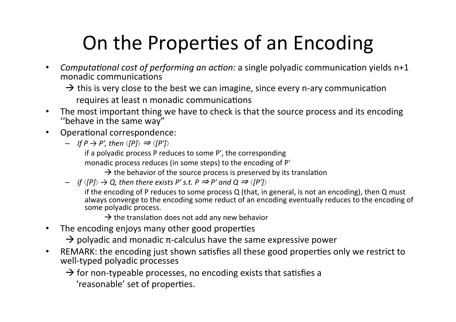### On the Properties of an Encoding

- *Computational cost of performing an action:* a single polyadic communication yields n+1 monadic communications
	- $\rightarrow$  this is very close to the best we can imagine, since every n-ary communication requires at least n monadic communications
- The most important thing we have to check is that the source process and its encoding "behave in the same way"
- Operational correspondence:
	- $-$  *If*  $P \rightarrow P'$ *, then*  $\langle |P| \rangle \Rightarrow \langle |P'| \rangle$

if a polyadic process  $P$  reduces to some  $P'$ , the corresponding

monadic process reduces (in some steps) to the encoding of P'

 $\rightarrow$  the behavior of the source process is preserved by its translation

 $-$  *if*  $\langle$ [P] $\rangle$   $\rightarrow$  Q, then there exists P' s.t. P  $\Rightarrow$  P' and Q  $\Rightarrow$   $\langle$ [P'] $\rangle$ 

if the encoding of P reduces to some process Q (that, in general, is not an encoding), then Q must always converge to the encoding some reduct of an encoding eventually reduces to the encoding of some polyadic process.

 $\rightarrow$  the translation does not add any new behavior

• The encoding enjoys many other good properties

 $\rightarrow$  polyadic and monadic  $\pi$ -calculus have the same expressive power

• REMARK: the encoding just shown satisfies all these good properties only we restrict to well-typed polyadic processes

 $\rightarrow$  for non-typeable processes, no encoding exists that satisfies a

'reasonable' set of properties.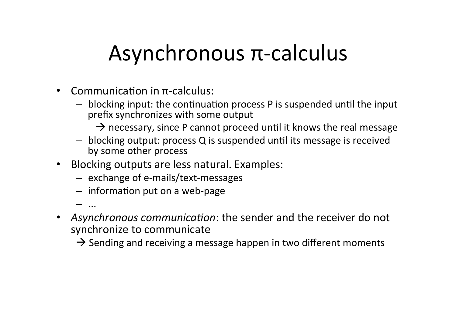### Asynchronous π-calculus

- Communication in  $\pi$ -calculus:
	- $-$  blocking input: the continuation process P is suspended until the input prefix synchronizes with some output
		- $\rightarrow$  necessary, since P cannot proceed until it knows the real message
	- blocking output: process Q is suspended until its message is received by some other process
- Blocking outputs are less natural. Examples:
	- exchange of e-mails/text-messages
	- $-$  information put on a web-page

– ... 

- Asynchronous communication: the sender and the receiver do not synchronize to communicate
	- $\rightarrow$  Sending and receiving a message happen in two different moments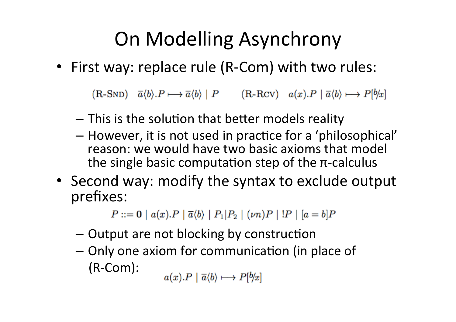### On Modelling Asynchrony

• First way: replace rule (R-Com) with two rules:

 $(R\text{-}SND)$   $\overline{a}\langle b\rangle \cdot P \longmapsto \overline{a}\langle b\rangle \mid P$   $(R\text{-}RCV)$   $a(x)\cdot P \mid \overline{a}\langle b\rangle \longmapsto P[b/x]$ 

- $-$  This is the solution that better models reality
- $-$  However, it is not used in practice for a 'philosophical' reason: we would have two basic axioms that model the single basic computation step of the  $\pi$ -calculus
- Second way: modify the syntax to exclude output prefixes:

 $P ::= \mathbf{0} | a(x).P | \overline{a} \langle b \rangle | P_1 | P_2 | (\nu n)P | P | [a = b]P$ 

- $-$  Output are not blocking by construction
- $-$  Only one axiom for communication (in place of (R-Com):

 $a(x).P \mid \overline{a}\langle b \rangle \longmapsto P[b/x]$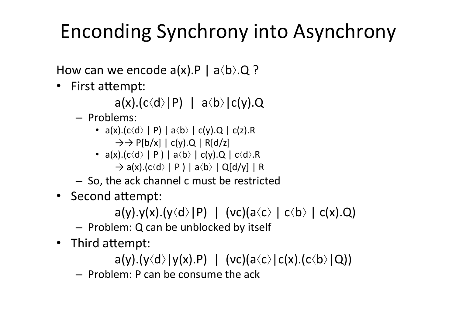### Enconding Synchrony into Asynchrony

How can we encode  $a(x)$ .P |  $a\langle b \rangle$ .Q ?

• First attempt:

 $a(x) \cdot (c \langle d \rangle |P)$  |  $a \langle b \rangle |c(y) \cdot Q$ 

- Problems:
	- $a(x) \cdot (c \cdot d) \mid P$  |  $a \cdot b$  |  $c(y) \cdot Q$  |  $c(z) \cdot R$  $\rightarrow$   $\rightarrow$  P[b/x] | c(y).Q | R[d/z]
	- $a(x) \cdot (c \langle d \rangle \mid P) \mid a \langle b \rangle \mid c(y) \cdot Q \mid c \langle d \rangle \cdot R$  $\rightarrow$  a(x).(c $\langle d \rangle$  | P) | a $\langle b \rangle$  | Q[d/y] | R
- So, the ack channel c must be restricted
- Second attempt:

a(y).y(x).(y $\langle d \rangle$ |P) | (vc)(a $\langle c \rangle$  | c $\langle b \rangle$  | c(x).Q)

- $-$  Problem: Q can be unblocked by itself
- Third attempt:

a(y).(y $\langle d \rangle$ |y(x).P) | (vc)(a $\langle c \rangle$ |c(x).(c $\langle b \rangle$ |Q))

– Problem: P can be consume the ack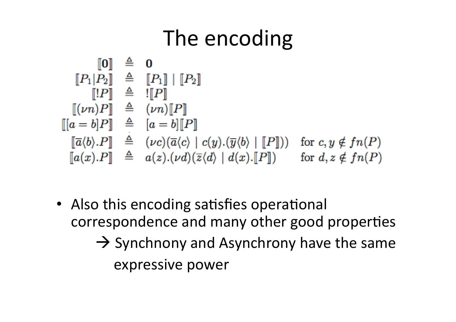## The encoding

$$
\begin{array}{rcl}\n\llbracket 0 \rrbracket & \triangleq & 0 \\
\llbracket P_1 | P_2 \rrbracket & \triangleq & \llbracket P_1 \rrbracket \mid \llbracket P_2 \rrbracket \\
\llbracket \llbracket P \rrbracket & \triangleq & \llbracket P \rrbracket \\
\llbracket (vn)P \rrbracket & \triangleq & \llbracket \nu n \rrbracket \llbracket P \rrbracket \\
\llbracket a = b \rrbracket P \rrbracket \\
\llbracket a = b \rrbracket P \rrbracket \\
\llbracket \overline{a} \langle b \rangle . P \rrbracket & \triangleq & \llbracket \nu c \rangle (\overline{a} \langle c \rangle \mid c \langle y) . (\overline{y} \langle b \rangle \mid \llbracket P \rrbracket)) \quad \text{for } c, y \notin fn(P) \\
\llbracket a(x). P \rrbracket & \triangleq & a(z). (\nu d) (\overline{z} \langle d \rangle \mid d(x). \llbracket P \rrbracket) \quad \text{for } d, z \notin fn(P)\n\end{array}
$$

• Also this encoding satisfies operational correspondence and many other good properties  $\rightarrow$  Synchnony and Asynchrony have the same expressive power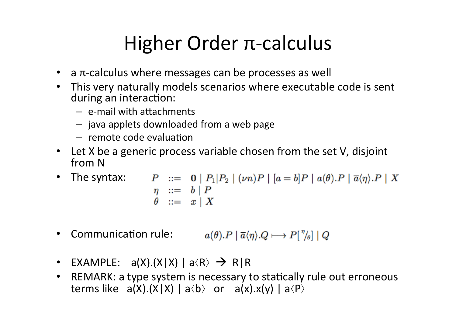#### Higher Order π-calculus

- a  $\pi$ -calculus where messages can be processes as well
- This very naturally models scenarios where executable code is sent during an interaction:
	- $-$  e-mail with attachments
	- $-$  java applets downloaded from a web page
	- $-$  remote code evaluation
- Let X be a generic process variable chosen from the set V, disjoint from N
- The syntax:  $P ::= \mathbf{0} | P_1|P_2 | (\nu n)P | [a = b]P | a(\theta).P | \overline{a}\langle \eta \rangle.P | X$  $\begin{array}{ccc} \eta & ::= & b | P \\ \theta & ::= & x | X \end{array}$
- Communication rule:  $a(\theta).P \mid \overline{a}\langle \eta \rangle.Q \longmapsto P\left[\frac{\eta}{\theta}\right] \mid Q$
- EXAMPLE:  $a(X).(X|X) | a \langle R \rangle \rightarrow R | R$
- REMARK: a type system is necessary to statically rule out erroneous terms like  $a(X) \cdot (X|X) \mid a \langle b \rangle$  or  $a(x) \cdot x(y) \mid a \langle P \rangle$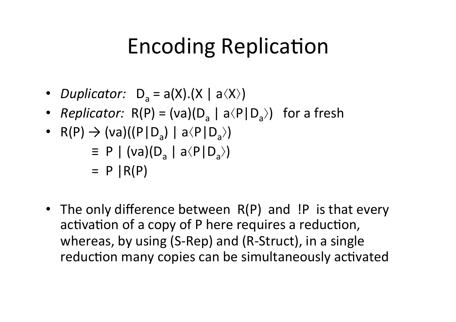## Encoding Replication

- *Duplicator:*  $D_a = a(X) \cdot (X \mid a \langle X \rangle)$
- *Replicator:*  $R(P) = (va)(D_a | a \langle P | D_a \rangle)$  for a fresh
- R(P)  $\rightarrow$  (va)((P|D<sub>a</sub>) | a $\langle$ P|D<sub>a</sub> $\rangle$ )  $\equiv$  P | (va)(D<sub>a</sub> | a $\langle$ P|D<sub>a</sub> $\rangle$ )  $=$  P  $\vert R(P)$
- The only difference between  $R(P)$  and  $P$  is that every activation of a copy of P here requires a reduction, whereas, by using  $(S-Rep)$  and  $(R-Struct)$ , in a single reduction many copies can be simultaneously activated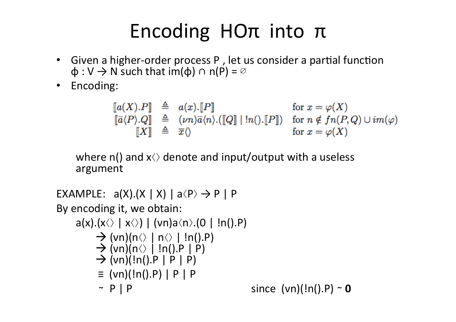#### Encoding HOπ into π

- Given a higher-order process P, let us consider a partial function  $\phi: V \rightarrow N$  such that im( $\phi$ )  $\cap$  n(P) =  $\emptyset$
- Encoding:

$$
\begin{array}{rcl}\n\llbracket a(X).P \rrbracket & \triangleq & a(x).[\![P]\!] & \text{for } x = \varphi(X) \\
\llbracket \overline{a}\langle P\rangle.Q \rrbracket & \triangleq & (\nu n)\overline{a}\langle n\rangle.([\![Q]\!] \mid !n() .[\![P]\!]) & \text{for } n \notin fn(P,Q) \cup im(\varphi) \\
\llbracket X \rrbracket & \triangleq & \overline{x}\langle \rangle & \text{for } x = \varphi(X)\n\end{array}
$$

where  $n()$  and  $x\Diamond$  denote and input/output with a useless argument

```
EXAMPLE: a(X).(X \mid X) \mid a \langle P \rangle \rightarrow P \mid PBy encoding it, we obtain:
       a(x). (x \leftrightarrow x \leftrightarrow x) \mid (vn)a \leftrightarrow (0 \mid ln().P)\rightarrow (vn)(n⟨⟩ | n⟨⟩ | !n().P)<br>\rightarrow (vn)(n⟨⟩ | !n().P | P)<br>\rightarrow (vn)(!n().P | P | P)
               \equiv (vn)(!n().P) | P | P
               	 	 ∼		P	|	P	 					since		(νn)(!n().P)	∼ 0
```